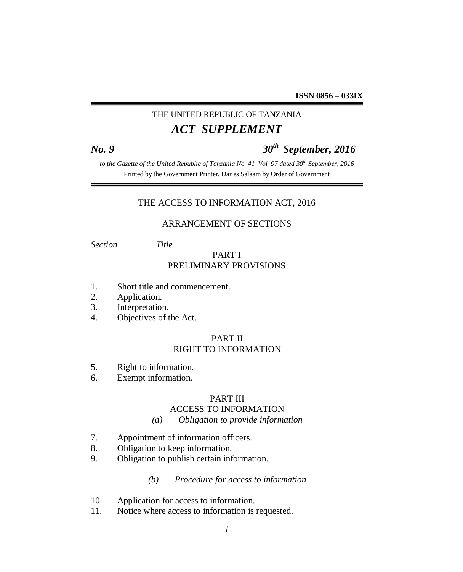## THE UNITED REPUBLIC OF TANZANIA *ACT SUPPLEMENT*

# *No. 9 30th September, 2016*

*to the Gazette of the United Republic of Tanzania No. 41 Vol 97 dated 30th September, 2016* Printed by the Government Printer, Dar es Salaam by Order of Government

#### THE ACCESS TO INFORMATION ACT, 2016

#### ARRANGEMENT OF SECTIONS

*Section Title*

### PART I PRELIMINARY PROVISIONS

- 1. Short title and commencement.
- 2. Application.
- 3. Interpretation.
- 4. Objectives of the Act.

### PART II RIGHT TO INFORMATION

- 5. Right to information.
- 6. Exempt information.

#### PART III

#### ACCESS TO INFORMATION

- *(a) Obligation to provide information*
- 7. Appointment of information officers.
- 8. Obligation to keep information.
- 9. Obligation to publish certain information.

#### *(b) Procedure for access to information*

- 10. Application for access to information.
- 11. Notice where access to information is requested.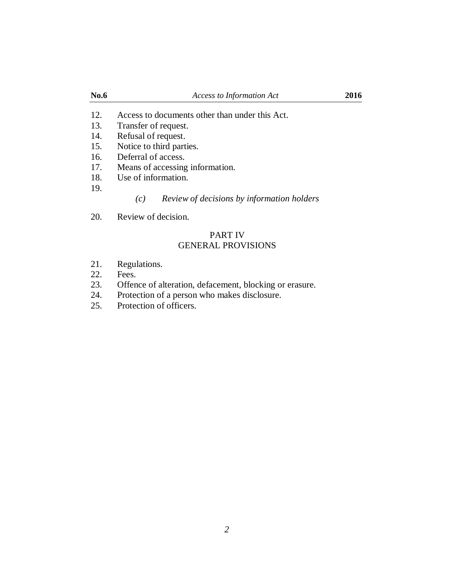- 12. Access to documents other than under this Act.
- 13. Transfer of request.
- 14. Refusal of request.
- 15. Notice to third parties.
- 16. Deferral of access.
- 17. Means of accessing information.
- 18. Use of information.
- 19.

*(c) Review of decisions by information holders*

20. Review of decision.

#### PART IV GENERAL PROVISIONS

- 21. Regulations.
- 22. Fees.
- 23. Offence of alteration, defacement, blocking or erasure.<br>24. Protection of a person who makes disclosure.
- Protection of a person who makes disclosure.
- 25. Protection of officers.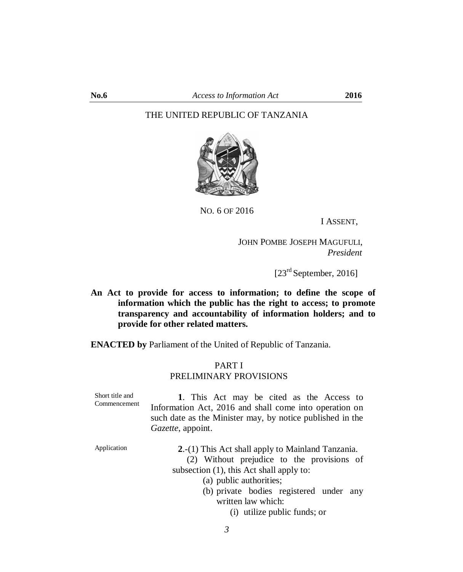#### THE UNITED REPUBLIC OF TANZANIA



NO. 6 OF 2016

I ASSENT,

JOHN POMBE JOSEPH MAGUFULI,  *President* 

 $[23<sup>rd</sup> September, 2016]$ 

**An Act to provide for access to information; to define the scope of information which the public has the right to access; to promote transparency and accountability of information holders; and to provide for other related matters.**

**ENACTED by** Parliament of the United of Republic of Tanzania.

### PART I PRELIMINARY PROVISIONS

| Short title and<br>Commencement | 1. This Act may be cited as the Access to<br>Information Act, 2016 and shall come into operation on<br>such date as the Minister may, by notice published in the<br>Gazette, appoint. |
|---------------------------------|---------------------------------------------------------------------------------------------------------------------------------------------------------------------------------------|
| Application                     | 2.-(1) This Act shall apply to Mainland Tanzania.<br>(2) Without prejudice to the provisions of<br>subsection $(1)$ , this Act shall apply to:                                        |
|                                 | (a) public authorities;<br>(b) private bodies registered under any                                                                                                                    |
|                                 | written law which:<br>(i) utilize public funds; or                                                                                                                                    |

*3*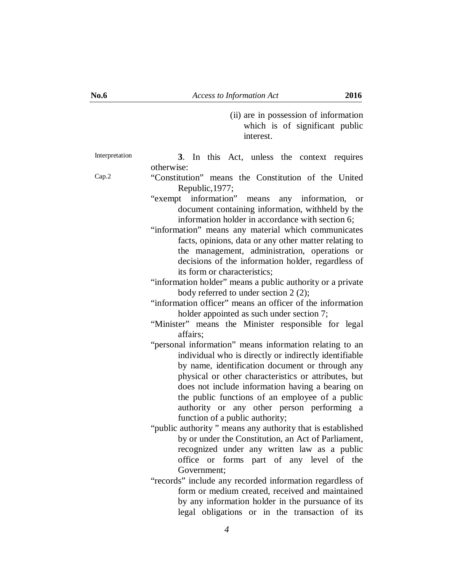(ii) are in possession of information which is of significant public interest.

Interpretation **3**. In this Act, unless the context requires otherwise:

Cap.2 "Constitution" means the Constitution of the United Republic,1977;

- "exempt information" means any information, or document containing information, withheld by the information holder in accordance with section 6;
- "information" means any material which communicates facts, opinions, data or any other matter relating to the management, administration, operations or decisions of the information holder, regardless of its form or characteristics;

#### "information holder" means a public authority or a private body referred to under section 2 (2);

"information officer" means an officer of the information holder appointed as such under section 7;

- "Minister" means the Minister responsible for legal affairs;
- "personal information" means information relating to an individual who is directly or indirectly identifiable by name, identification document or through any physical or other characteristics or attributes, but does not include information having a bearing on the public functions of an employee of a public authority or any other person performing a function of a public authority;
- "public authority " means any authority that is established by or under the Constitution, an Act of Parliament, recognized under any written law as a public office or forms part of any level of the Government;
- "records" include any recorded information regardless of form or medium created, received and maintained by any information holder in the pursuance of its legal obligations or in the transaction of its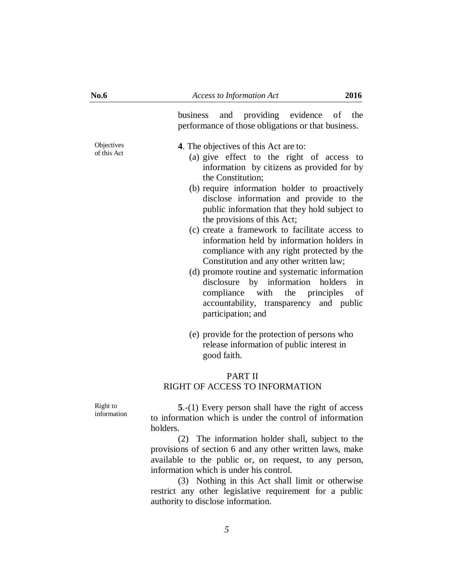business and providing evidence of the performance of those obligations or that business.

**Objectives** of this Act

**4**. The objectives of this Act are to:

- (a) give effect to the right of access to information by citizens as provided for by the Constitution;
- (b) require information holder to proactively disclose information and provide to the public information that they hold subject to the provisions of this Act;
- (c) create a framework to facilitate access to information held by information holders in compliance with any right protected by the Constitution and any other written law;
- (d) promote routine and systematic information disclosure by information holders in compliance with the principles of accountability, transparency and public participation; and
- (e) provide for the protection of persons who release information of public interest in good faith.

#### PART II RIGHT OF ACCESS TO INFORMATION

Right to information

**5**.-(1) Every person shall have the right of access to information which is under the control of information holders.

(2) The information holder shall, subject to the provisions of section 6 and any other written laws, make available to the public or, on request, to any person, information which is under his control.

(3) Nothing in this Act shall limit or otherwise restrict any other legislative requirement for a public authority to disclose information.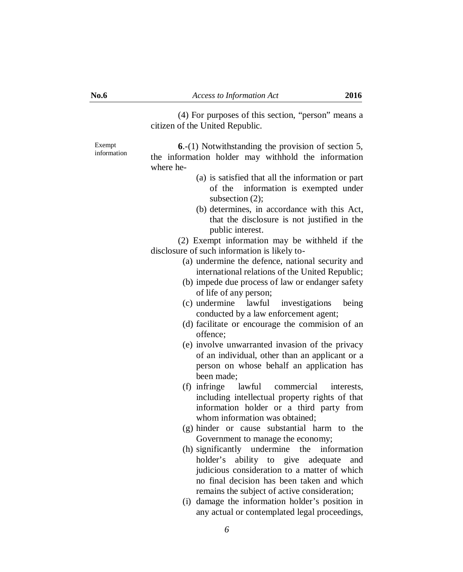(4) For purposes of this section, "person" means a citizen of the United Republic.

Exempt information

**6**.-(1) Notwithstanding the provision of section 5, the information holder may withhold the information where he-

- (a) is satisfied that all the information or part of the information is exempted under subsection (2);
- (b) determines, in accordance with this Act, that the disclosure is not justified in the public interest.

(2) Exempt information may be withheld if the disclosure of such information is likely to-

- (a) undermine the defence, national security and international relations of the United Republic;
- (b) impede due process of law or endanger safety of life of any person;
- (c) undermine lawful investigations being conducted by a law enforcement agent;
- (d) facilitate or encourage the commision of an offence;
- (e) involve unwarranted invasion of the privacy of an individual, other than an applicant or a person on whose behalf an application has been made;
- (f) infringe lawful commercial interests, including intellectual property rights of that information holder or a third party from whom information was obtained;
- (g) hinder or cause substantial harm to the Government to manage the economy;
- (h) significantly undermine the information holder's ability to give adequate and judicious consideration to a matter of which no final decision has been taken and which remains the subject of active consideration;
- (i) damage the information holder's position in any actual or contemplated legal proceedings,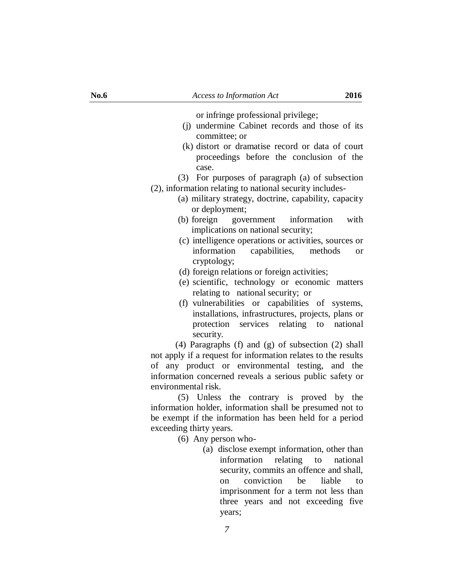or infringe professional privilege;

- (j) undermine Cabinet records and those of its committee; or
- (k) distort or dramatise record or data of court proceedings before the conclusion of the case.

(3) For purposes of paragraph (a) of subsection

- (2), information relating to national security includes-
	- (a) military strategy, doctrine, capability, capacity or deployment;
	- (b) foreign government information with implications on national security;
	- (c) intelligence operations or activities, sources or information capabilities, methods or cryptology;
	- (d) foreign relations or foreign activities;
	- (e) scientific, technology or economic matters relating to national security; or
	- (f) vulnerabilities or capabilities of systems, installations, infrastructures, projects, plans or protection services relating to national security.

 (4) Paragraphs (f) and (g) of subsection (2) shall not apply if a request for information relates to the results of any product or environmental testing, and the information concerned reveals a serious public safety or environmental risk.

(5) Unless the contrary is proved by the information holder, information shall be presumed not to be exempt if the information has been held for a period exceeding thirty years.

- (6) Any person who-
	- (a) disclose exempt information, other than information relating to national security, commits an offence and shall, on conviction be liable to imprisonment for a term not less than three years and not exceeding five years;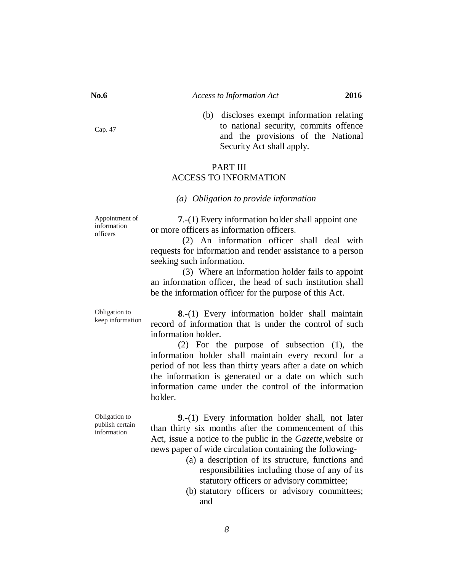(b) discloses exempt information relating to national security, commits offence and the provisions of the National Security Act shall apply.

#### PART III ACCESS TO INFORMATION

#### *(a) Obligation to provide information*

Appointment of information officers

**7**.-(1) Every information holder shall appoint one or more officers as information officers.

(2) An information officer shall deal with requests for information and render assistance to a person seeking such information.

(3) Where an information holder fails to appoint an information officer, the head of such institution shall be the information officer for the purpose of this Act.

Obligation to keep information

**8**.-(1) Every information holder shall maintain record of information that is under the control of such information holder.

(2) For the purpose of subsection (1), the information holder shall maintain every record for a period of not less than thirty years after a date on which the information is generated or a date on which such information came under the control of the information holder.

Obligation to publish certain information

**9**.-(1) Every information holder shall, not later than thirty six months after the commencement of this Act, issue a notice to the public in the *Gazette,*website or news paper of wide circulation containing the following-

*8*

- (a) a description of its structure, functions and responsibilities including those of any of its statutory officers or advisory committee;
- (b) statutory officers or advisory committees; and

Cap. 47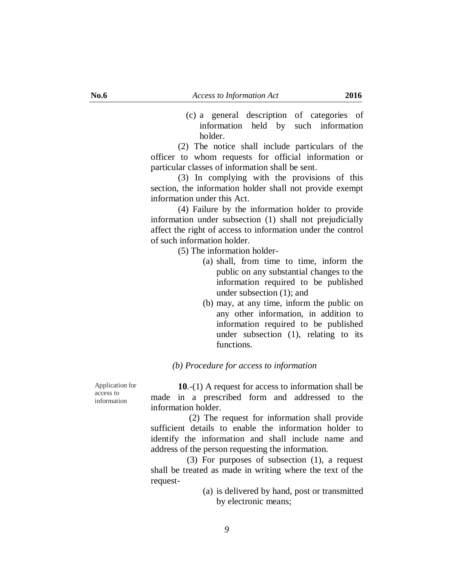(c) a general description of categories of information held by such information holder.

(2) The notice shall include particulars of the officer to whom requests for official information or particular classes of information shall be sent.

(3) In complying with the provisions of this section, the information holder shall not provide exempt information under this Act.

(4) Failure by the information holder to provide information under subsection (1) shall not prejudicially affect the right of access to information under the control of such information holder.

(5) The information holder-

- (a) shall, from time to time, inform the public on any substantial changes to the information required to be published under subsection (1); and
- (b) may, at any time, inform the public on any other information, in addition to information required to be published under subsection (1), relating to its functions.

#### *(b) Procedure for access to information*

Application for access to information

**10**.-(1) A request for access to information shall be made in a prescribed form and addressed to the information holder.

 (2) The request for information shall provide sufficient details to enable the information holder to identify the information and shall include name and address of the person requesting the information.

 (3) For purposes of subsection (1), a request shall be treated as made in writing where the text of the request-

> (a) is delivered by hand, post or transmitted by electronic means;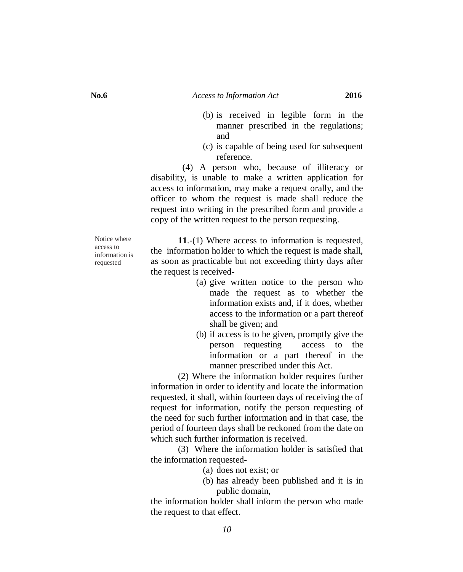- (b) is received in legible form in the manner prescribed in the regulations; and
- (c) is capable of being used for subsequent reference.

 (4) A person who, because of illiteracy or disability, is unable to make a written application for access to information, may make a request orally, and the officer to whom the request is made shall reduce the request into writing in the prescribed form and provide a copy of the written request to the person requesting.

Notice where access to information is requested

**11**.-(1) Where access to information is requested, the information holder to which the request is made shall, as soon as practicable but not exceeding thirty days after the request is received-

- (a) give written notice to the person who made the request as to whether the information exists and, if it does, whether access to the information or a part thereof shall be given; and
- (b) if access is to be given, promptly give the person requesting access to the information or a part thereof in the manner prescribed under this Act.

(2) Where the information holder requires further information in order to identify and locate the information requested, it shall, within fourteen days of receiving the of request for information, notify the person requesting of the need for such further information and in that case, the period of fourteen days shall be reckoned from the date on which such further information is received.

(3) Where the information holder is satisfied that the information requested-

- (a) does not exist; or
- (b) has already been published and it is in public domain,

the information holder shall inform the person who made the request to that effect.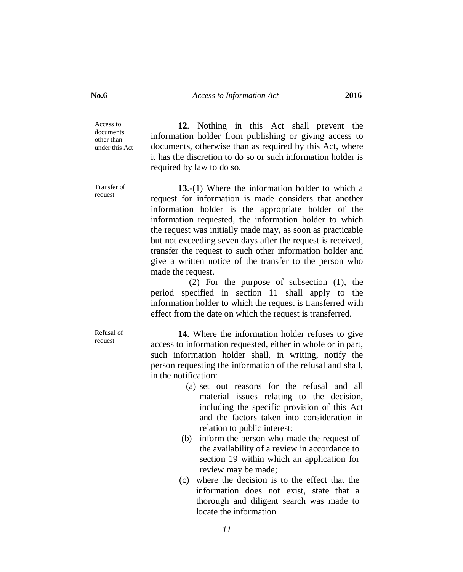Access to documents other than under this Act

**12**. Nothing in this Act shall prevent the information holder from publishing or giving access to documents, otherwise than as required by this Act, where it has the discretion to do so or such information holder is required by law to do so.

Transfer of request

**13**.-(1) Where the information holder to which a request for information is made considers that another information holder is the appropriate holder of the information requested, the information holder to which the request was initially made may, as soon as practicable but not exceeding seven days after the request is received, transfer the request to such other information holder and give a written notice of the transfer to the person who made the request.

 (2) For the purpose of subsection (1), the period specified in section 11 shall apply to the information holder to which the request is transferred with effect from the date on which the request is transferred.

Refusal of request

**14**. Where the information holder refuses to give access to information requested, either in whole or in part, such information holder shall, in writing, notify the person requesting the information of the refusal and shall, in the notification:

- (a) set out reasons for the refusal and all material issues relating to the decision, including the specific provision of this Act and the factors taken into consideration in relation to public interest;
- (b) inform the person who made the request of the availability of a review in accordance to section 19 within which an application for review may be made;
- (c) where the decision is to the effect that the information does not exist, state that a thorough and diligent search was made to locate the information.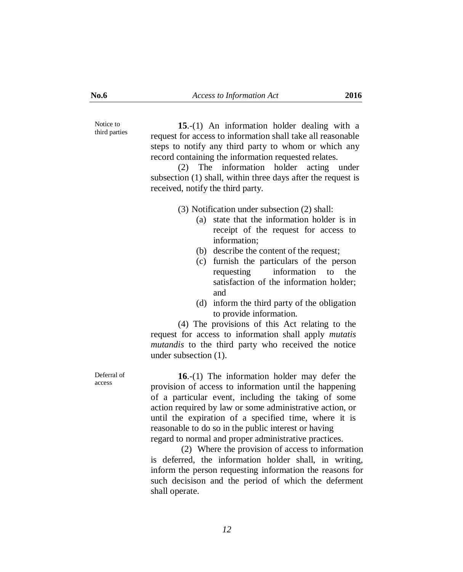Notice to third parties

**15**.-(1) An information holder dealing with a request for access to information shall take all reasonable steps to notify any third party to whom or which any record containing the information requested relates.

(2) The information holder acting under subsection (1) shall, within three days after the request is received, notify the third party.

(3) Notification under subsection (2) shall:

- (a) state that the information holder is in receipt of the request for access to information;
- (b) describe the content of the request;
- (c) furnish the particulars of the person requesting information to the satisfaction of the information holder; and
- (d) inform the third party of the obligation to provide information.

(4) The provisions of this Act relating to the request for access to information shall apply *mutatis mutandis* to the third party who received the notice under subsection (1).

Deferral of access

**16**.-(1) The information holder may defer the provision of access to information until the happening of a particular event, including the taking of some action required by law or some administrative action, or until the expiration of a specified time, where it is reasonable to do so in the public interest or having regard to normal and proper administrative practices.

 (2) Where the provision of access to information is deferred, the information holder shall, in writing, inform the person requesting information the reasons for such decisison and the period of which the deferment shall operate.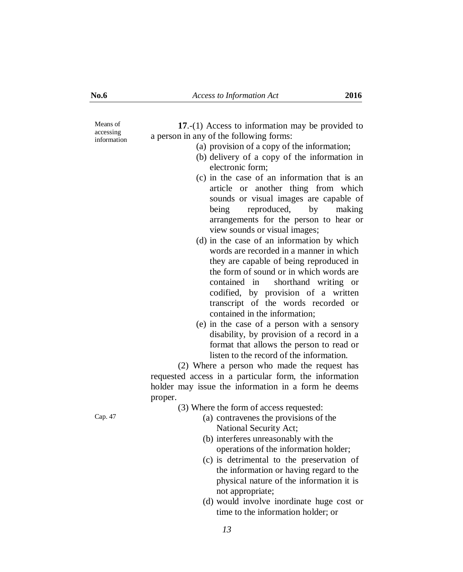Means of accessing information

| 17.-(1) Access to information may be provided to |
|--------------------------------------------------|
| a person in any of the following forms:          |
| (a) provision of a copy of the information;      |
| (b) delivery of a copy of the information in     |
| electronic form;                                 |
| (c) in the case of an information that is an     |
| article or another thing from which              |
| sounds or visual images are capable of           |
| being reproduced, by making                      |

**17**.-(1) Access to information may be provided to

view sounds or visual images; (d) in the case of an information by which words are recorded in a manner in which they are capable of being reproduced in the form of sound or in which words are contained in shorthand writing or codified, by provision of a written transcript of the words recorded or contained in the information;

arrangements for the person to hear or

(e) in the case of a person with a sensory disability, by provision of a record in a format that allows the person to read or listen to the record of the information.

(2) Where a person who made the request has requested access in a particular form, the information holder may issue the information in a form he deems proper.

(3) Where the form of access requested:

- Cap. 47 (a) contravenes the provisions of the National Security Act;
	- (b) interferes unreasonably with the operations of the information holder;
	- (c) is detrimental to the preservation of the information or having regard to the physical nature of the information it is not appropriate;
	- (d) would involve inordinate huge cost or time to the information holder; or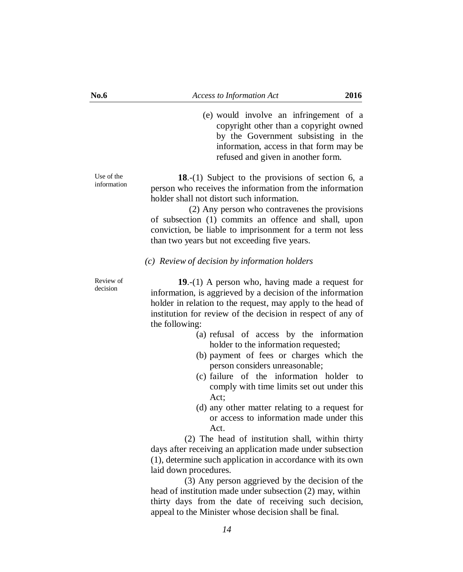(e) would involve an infringement of a copyright other than a copyright owned by the Government subsisting in the information, access in that form may be refused and given in another form.

**18**.-(1) Subject to the provisions of section 6, a person who receives the information from the information holder shall not distort such information.

 (2) Any person who contravenes the provisions of subsection (1) commits an offence and shall, upon conviction, be liable to imprisonment for a term not less than two years but not exceeding five years.

#### *(c) Review of decision by information holders*

Review of decision

Use of the information

> **19**.-(1) A person who, having made a request for information, is aggrieved by a decision of the information holder in relation to the request, may apply to the head of institution for review of the decision in respect of any of the following:

- (a) refusal of access by the information holder to the information requested;
- (b) payment of fees or charges which the person considers unreasonable;
- (c) failure of the information holder to comply with time limits set out under this Act;
- (d) any other matter relating to a request for or access to information made under this Act.

(2) The head of institution shall, within thirty days after receiving an application made under subsection (1), determine such application in accordance with its own laid down procedures.

 (3) Any person aggrieved by the decision of the head of institution made under subsection (2) may, within thirty days from the date of receiving such decision, appeal to the Minister whose decision shall be final.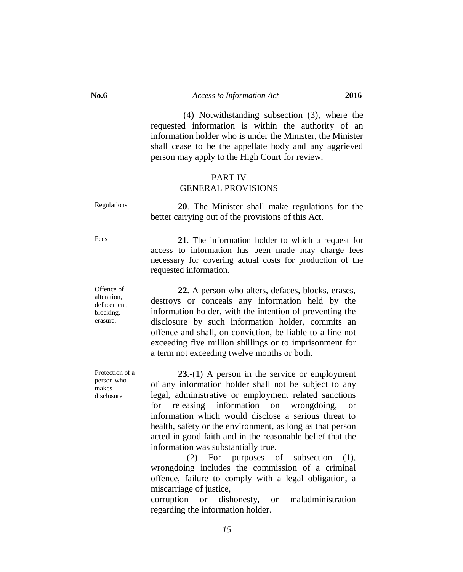(4) Notwithstanding subsection (3), where the requested information is within the authority of an information holder who is under the Minister, the Minister shall cease to be the appellate body and any aggrieved person may apply to the High Court for review.

#### PART IV GENERAL PROVISIONS

Regulations **20**. The Minister shall make regulations for the better carrying out of the provisions of this Act.

Fees **21**. The information holder to which a request for access to information has been made may charge fees necessary for covering actual costs for production of the requested information.

> **22**. A person who alters, defaces, blocks, erases, destroys or conceals any information held by the information holder, with the intention of preventing the disclosure by such information holder, commits an offence and shall, on conviction, be liable to a fine not exceeding five million shillings or to imprisonment for a term not exceeding twelve months or both.

> **23**.-(1) A person in the service or employment of any information holder shall not be subject to any legal, administrative or employment related sanctions for releasing information on wrongdoing, or information which would disclose a serious threat to health, safety or the environment, as long as that person acted in good faith and in the reasonable belief that the information was substantially true.

> (2) For purposes of subsection (1), wrongdoing includes the commission of a criminal offence, failure to comply with a legal obligation, a miscarriage of justice,

> corruption or dishonesty, or maladministration regarding the information holder.

Offence of alteration, defacement, blocking, erasure.

Protection of a person who

makes disclosure